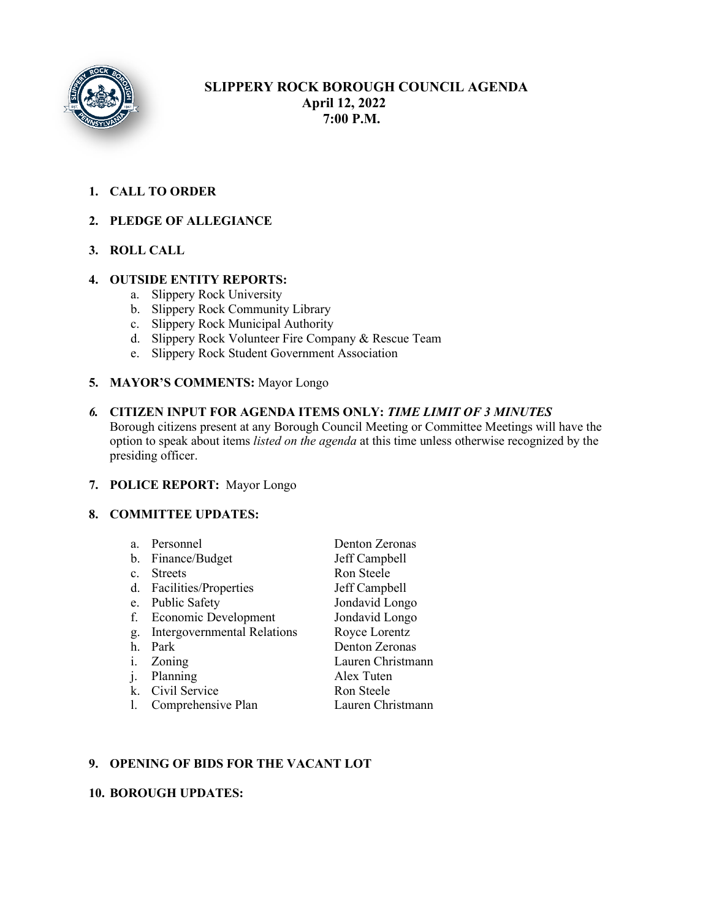

# **SLIPPERY ROCK BOROUGH COUNCIL AGENDA April 12, 2022 7:00 P.M.**

# **1. CALL TO ORDER**

## **2. PLEDGE OF ALLEGIANCE**

# **3. ROLL CALL**

#### **4. OUTSIDE ENTITY REPORTS:**

- a. Slippery Rock University
- b. Slippery Rock Community Library
- c. Slippery Rock Municipal Authority
- d. Slippery Rock Volunteer Fire Company & Rescue Team
- e. Slippery Rock Student Government Association

#### **5. MAYOR'S COMMENTS:** Mayor Longo

*6.* **CITIZEN INPUT FOR AGENDA ITEMS ONLY:** *TIME LIMIT OF 3 MINUTES* Borough citizens present at any Borough Council Meeting or Committee Meetings will have the option to speak about items *listed on the agenda* at this time unless otherwise recognized by the presiding officer.

#### **7. POLICE REPORT:** Mayor Longo

#### **8. COMMITTEE UPDATES:**

|                | a. Personnel                | Denton Zeronas    |
|----------------|-----------------------------|-------------------|
|                | b. Finance/Budget           | Jeff Campbell     |
| $\mathbf{c}$ . | <b>Streets</b>              | Ron Steele        |
|                | d. Facilities/Properties    | Jeff Campbell     |
|                | e. Public Safety            | Jondavid Longo    |
| f.             | Economic Development        | Jondavid Longo    |
| g.             | Intergovernmental Relations | Royce Lorentz     |
| h.             | Park                        | Denton Zeronas    |
|                | Zoning                      | Lauren Christmann |
|                | Planning                    | Alex Tuten        |
|                | k. Civil Service            | Ron Steele        |
|                | Comprehensive Plan          | Lauren Christmann |

## **9. OPENING OF BIDS FOR THE VACANT LOT**

## **10. BOROUGH UPDATES:**